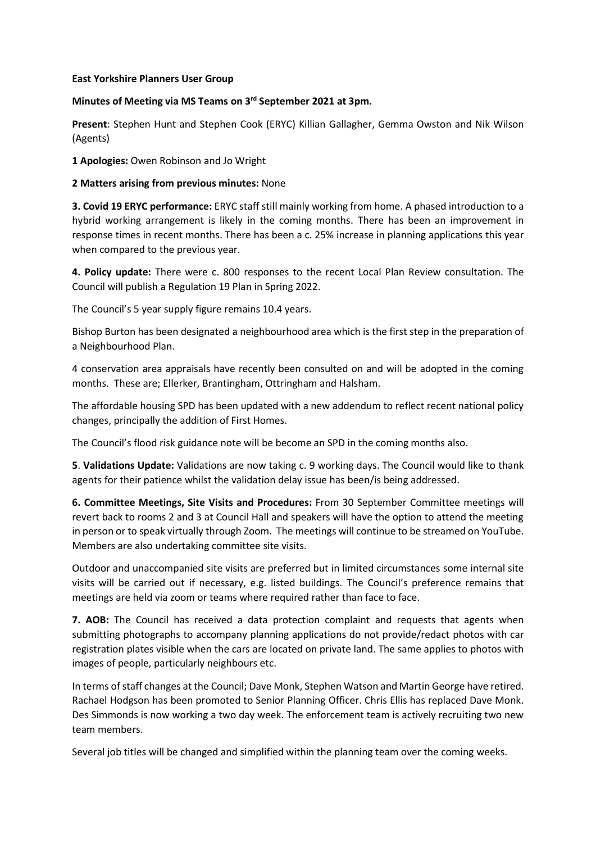## **East Yorkshire Planners User Group**

## **Minutes of Meeting via MS Teams on 3 rd September 2021 at 3pm.**

**Present**: Stephen Hunt and Stephen Cook (ERYC) Killian Gallagher, Gemma Owston and Nik Wilson (Agents)

**1 Apologies:** Owen Robinson and Jo Wright

## **2 Matters arising from previous minutes:** None

**3. Covid 19 ERYC performance:** ERYC staff still mainly working from home. A phased introduction to a hybrid working arrangement is likely in the coming months. There has been an improvement in response times in recent months. There has been a c. 25% increase in planning applications this year when compared to the previous year.

**4. Policy update:** There were c. 800 responses to the recent Local Plan Review consultation. The Council will publish a Regulation 19 Plan in Spring 2022.

The Council's 5 year supply figure remains 10.4 years.

Bishop Burton has been designated a neighbourhood area which is the first step in the preparation of a Neighbourhood Plan.

4 conservation area appraisals have recently been consulted on and will be adopted in the coming months. These are; Ellerker, Brantingham, Ottringham and Halsham.

The affordable housing SPD has been updated with a new addendum to reflect recent national policy changes, principally the addition of First Homes.

The Council's flood risk guidance note will be become an SPD in the coming months also.

**5**. **Validations Update:** Validations are now taking c. 9 working days. The Council would like to thank agents for their patience whilst the validation delay issue has been/is being addressed.

**6. Committee Meetings, Site Visits and Procedures:** From 30 September Committee meetings will revert back to rooms 2 and 3 at Council Hall and speakers will have the option to attend the meeting in person or to speak virtually through Zoom. The meetings will continue to be streamed on YouTube. Members are also undertaking committee site visits.

Outdoor and unaccompanied site visits are preferred but in limited circumstances some internal site visits will be carried out if necessary, e.g. listed buildings. The Council's preference remains that meetings are held via zoom or teams where required rather than face to face.

**7. AOB:** The Council has received a data protection complaint and requests that agents when submitting photographs to accompany planning applications do not provide/redact photos with car registration plates visible when the cars are located on private land. The same applies to photos with images of people, particularly neighbours etc.

In terms of staff changes at the Council; Dave Monk, Stephen Watson and Martin George have retired. Rachael Hodgson has been promoted to Senior Planning Officer. Chris Ellis has replaced Dave Monk. Des Simmonds is now working a two day week. The enforcement team is actively recruiting two new team members.

Several job titles will be changed and simplified within the planning team over the coming weeks.